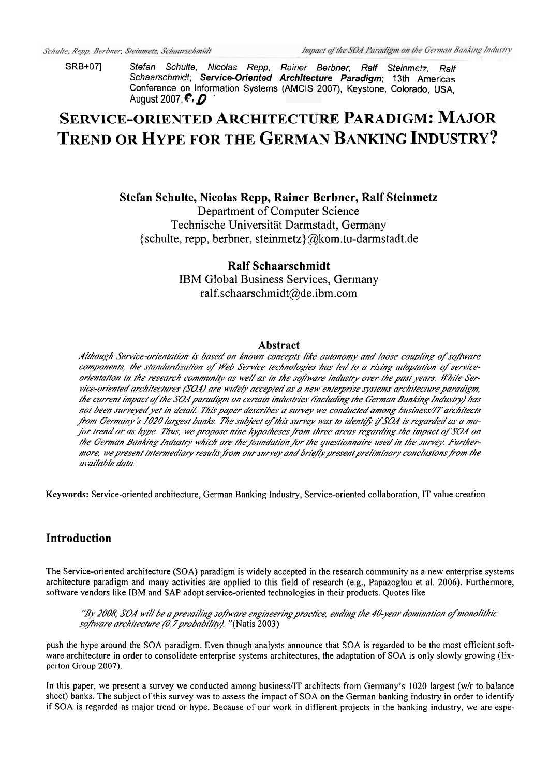SRB+071 Stefan Schulte, Nicolas Repp, Rainer Berbner, Ralf Steinmetz, Ralf Schaarschmidt, Service-Oriented Architecture Paradigm; 13th Americas Conference on Information Systems (AMCIS 2007), Keystone, Colorado, USA. August 2007.  $\epsilon$ .  $\Omega$ 

# **SERVICE-ORIENTED ARCHITECTURE PARADIGM: MAJOR TREND OR HYPE FOR THE GERMAN BANKING INDUSTRY?**

# Stefan Schulte, Nicolas Repp, Rainer Berbner, Ralf Steinmetz

Department of Computer Science Technische Universität Darmstadt, Germany {schulte, repp, berbner, steinmetz}@kom.tu-darmstadt.de

# **Ralf Schaarschmidt**

IBM Global Business Services, Germany ralf.schaarschmidt@de.ibm.com

#### **Abstract**

Although Service-orientation is based on known concepts like autonomy and loose coupling of software components, the standardization of Web Service technologies has led to a rising adaptation of serviceorientation in the research community as well as in the software industry over the past years. While Service-oriented architectures (SOA) are widely accepted as a new enterprise systems architecture paradigm, the current impact of the SOA paradigm on certain industries (including the German Banking Industry) has not been surveyed yet in detail. This paper describes a survey we conducted among business/IT architects from Germany's 1020 largest banks. The subject of this survey was to identify if SOA is regarded as a major trend or as hype. Thus, we propose nine hypotheses from three areas regarding the impact of SOA on the German Banking Industry which are the foundation for the questionnaire used in the survey. Furthermore, we present intermediary results from our survey and briefly present preliminary conclusions from the available data.

Keywords: Service-oriented architecture, German Banking Industry, Service-oriented collaboration, IT value creation

# **Introduction**

The Service-oriented architecture (SOA) paradigm is widely accepted in the research community as a new enterprise systems architecture paradigm and many activities are applied to this field of research (e.g., Papazoglou et al. 2006). Furthermore, software vendors like IBM and SAP adopt service-oriented technologies in their products. Quotes like

"By 2008, SOA will be a prevailing software engineering practice, ending the 40-year domination of monolithic software architecture (0.7 probability). "(Natis 2003)

push the hype around the SOA paradigm. Even though analysts announce that SOA is regarded to be the most efficient software architecture in order to consolidate enterprise systems architectures, the adaptation of SOA is only slowly growing (Experton Group 2007).

In this paper, we present a survey we conducted among business/IT architects from Germany's 1020 largest (w/r to balance sheet) banks. The subject of this survey was to assess the impact of SOA on the German banking industry in order to identify if SOA is regarded as major trend or hype. Because of our work in different projects in the banking industry, we are espe-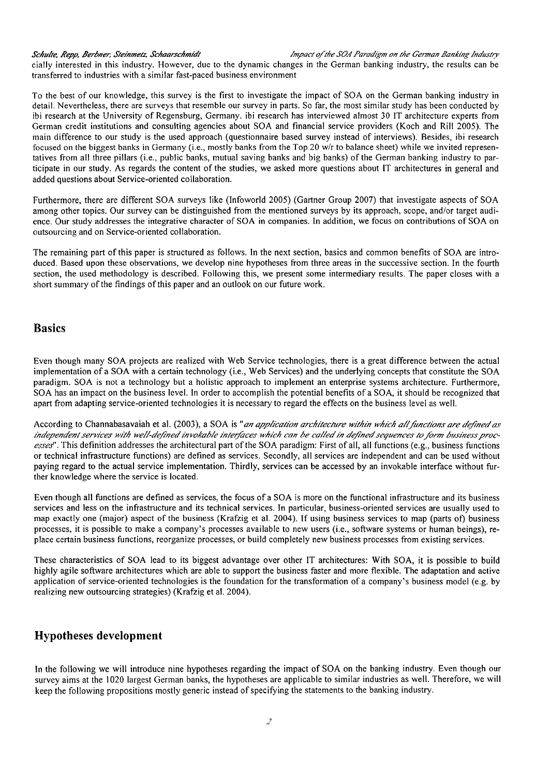*Schulte, Repp, Berbner, Steinmetz, Schaarschmidt* fight and *impact of the SOA Paradigm on the German Banking Industry* 

cially interested in this industry. However, due to the dynamic changes in the German banking industry, the results can be transferred to industries with a similar fast-paced business environment

To the best of our knowledge, this survey is the first to investigate the impact of SOA on the German banking industry in detail. Nevertheless, there are surveys that resemble our survey in parts. So far, the most similar study has been conducted by ibi research at the University of Regensburg, Germany. ibi research has interviewed almost 30 IT architecture experts from German credit institutions and consulting agencies about SOA and financial service providers (Koch and Rill 2005). The main difference to our study is the used approach (questionnaire based survey instead of interviews). Besides, ibi research focused on the biggest banks in Germany (i.e., mostly banks from the Top 20 w/r to balance sheet) while we invited representatives from all three pillars (i.e., public banks, mutual saving banks and big banks) of the German banking industry to participate in our study. As regards the content of the studies, we asked more questions about IT architectures in general and added questions about Service-oriented collaboration.

Furthermore, there are different SOA surveys iike (Infoworld 2005) (Gartner Group 2007) that investigate aspects of SOA among other topics. Our survey can be distinguished from the mentioned surveys by its approach, scope, and/or target audience. Our study addresses the integrative character of SOA in companies. In addition, we focus on contributions of SOA on outsourcing and on Service-oriented collaboration.

The remaining part of this paper is structured as follows. In the next section, basics and common benefits of SOA are introduced. Based upon these observations, we develop nine hypotheses from three areas in the successive section. In the fourth section, the used methodology is described. Following this, we present some intermediary results. The paper closes with a short summary of the findings of this paper and an outlook on our future work.

# **Basics**

Even though many SOA projects are realized with Web Service technologies, there is a great difference between the actual implementation of a SOA with a certain technology (i.e., Web Services) and the underlying concepts that constitute the SOA paradigm. SOA is not a technology but a holistic approach to implement an enterprise systems architecture. Furthermore, SOA has an impact on the business level. In order to accomplish the potential benefits of a SOA, it should be recognized that apart from adapting service-oriented technologies it is necessary to regard the effects on the business level as well.

According to Channabasavaiah et al. (2003), a SOA is "*an application architecture within which all functions are defined as* independent services with well-defined invokable interfaces which can be called in defined sequences to form business proc*esseY1.* This definition addresses the architectural part of the SOA paradigm: First of all, all functions (e.g., business functions or technical infrastructure functions) are defined as services. Secondly, all services are independent and can be used without paying regard to the actual service implementation. Thirdly, services can be accessed by an invokable interface without further knowledge where the service is located.

Even though all functions are defined as services, the focus of a SOA is more on the functional infrastructure and its business services and less on the infrastructure and its technical services. In particular, business-oriented services are usually used to map exactly one (major) aspect of the business (Krafzig et al. 2004). If using business services to map (parts of) business processes, it is possible to make a company's processes available to new Users (i.e., software systems or human beings), replace certain business functions, reorganize processes, or build completely new business processes from existing services.

These characteristics of SOA lead to its biggest advantage over other IT architectures: With SOA, it is possible to build highly agile software architectures which are able to support the business faster and more flexible. The adaptation and active application of service-oriented technologies is the foundation for the transformation of a company's business model (e.g. by realizing new outsourcing strategies) (Krafzig et al. 2004).

# **Hypotheses development**

In the following we will introduce nine hypotheses regarding the impact of SOA on the banking industry. Even though our survey aims at the 1020 largest German banks, the hypotheses are applicable to similar industries as well. Therefore, we will keep the following propositions mostly generic instead of specifying the Statements to the banking industry.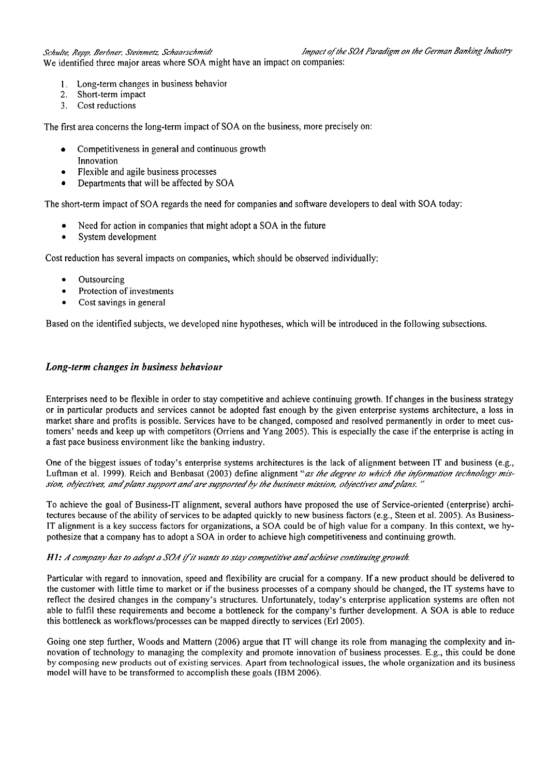Schulte, Repp, Berbner, Steinmetz, Schaarschmidt **inf and a state of the SOA Paradigm** on the German Banking Industry We identified three major areas where SOA might have an impact on companies:

- 
- **1.** Long-term changes in business behavior
- 2. Short-term impact
- 3. Cost reductions

The first area concerns the long-term impact of SOA on the business, more precisely On:

- Competitiveness in general and continuous growth  $\bullet$ Innovation
- Flexible and agile business processes  $\bullet$
- Departments that will be affected by SOA

The short-term impact of SOA regards the need for companies and software developers to deal with SOA today:

- $\bullet$ Need for action in companies that might adopt a SOA in the future
- System development

Cost reduction has several impacts on companies, which should be observed individually:

- Outsourcing  $\bullet$
- Protection of investments
- Cost savings in general

Based on the identified subjects, we developed nine hypotheses, which will be introduced in the following subsections.

### *Long-term changes in business behaviour*

Enterprises need to be flexible in order to stay competitive and achieve continuing growth. If changes in the business strategy or in particular products and services cannot be adopted fast enough by the given enterprise systems architecture, a loss in market share and profits is possible. Services have to be changed, composed and resolved permanently in order to meet customers' needs and keep up with competitors (Orriens and Yang 2005). This is especially the case if the enterprise is acting in a fast pace business environment like the banking industry.

One of the biggest issues of today's enterprise systems architectures is the lack of alignment between IT and business (e.g., Luftman et al. 1999). Reich and Benbasat (2003) define alignment "as the degree to which the information technology mission, objectives, and plans support and are supported by the business mission, objectives and plans."

To achieve the goal of Business-IT alignment, several authors have proposed the use of Service-oriented (enterprise) architectures because of the ability of services to be adapted quickly to new business factors (e.g., Steen et al. 2005). As Business-IT alignment is a key success factors for organizations, a SOA could be of high value for a company. In this context, we hypothesize that a company has to adopt a SOA in order to achieve high competitiveness and continuing growth.

#### **H1:** A company has to adopt a SOA if it wants to stay competitive and achieve continuing growth.

Particular with regard to innovation, speed and flexibility are crucial for a company. If a new product should be delivered to the customer with little time to market or if the business processes of a company should be changed, the IT systems have to reflect the desired changes in the company's structures. Unfortunately, today's enterprise application systems are often not able to fulfil these requirements and become a bottleneck for the company's further development. A SOA is able to reduce this bottleneck as workflows/processes can be mapped directly to services (Erl 2005).

Going one step further, Woods and Mattern (2006) argue that IT will change its role from managing the complexity and innovation of technology to managing the complexity and promote innovation of business processes. E.g., this could be done by composing new products out of existing services. Apart from technological issues, the whole organization and its business model will have to be transformed to accomplish these goals (IBM 2006).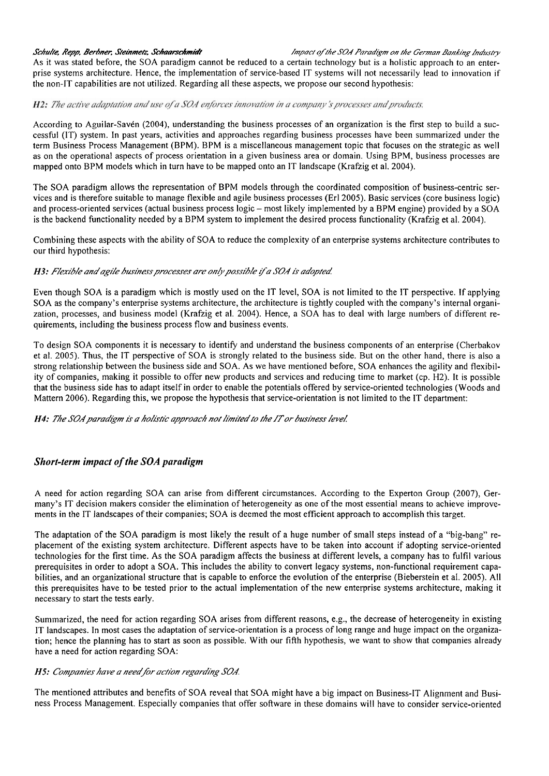Schulte, Repp, Berbner, Steinmetz, Schaarschmidt *final particle of the SGA Paradigm on the German Banking Industry* 

As it was stated before, the SOA paradigm cannot be reduced to a certain technology but is a holistic approach to an enterprise systems architecture. Hence, the implementation of service-based 1T systems will not necessarily lead to innovation if the non-IT capabilities are not utilized. Regarding all these aspects, we propose our second hypothesis:

#### H2: The active adaptation and use of a SOA enforces innovation in a company's processes and products.

According to Aguilar-Saven (2004), understanding the business processes of an organization is the first step to build a successful (IT) system. In past years, activities and approaches regarding business processes have been summarized under the term Business Process Management (BPM). BPM is a miscellaneous management topic that focuses on the strategic as well as on the operational aspects of process orientation in a given business area or domain. Using BPM, business processes are mapped onto BPM models which in turn have to be mapped onto an IT landscape (Krafzig et al. 2004).

The SOA paradigm allows the representation of BPM models through the coordinated composition of business-centric services and is therefore suitable to manage flexible and agile business processes (Erl2005). Basic services (core business logic) and process-oriented services (actual business process logic - most likely implemented by a BPM engine) provided by a SOA is the backend functionality needed by a BPM system to implement the desired process functionality (Krafzig et al. 2004).

Combining these aspects with the ability of SOA to reduce the complexity of an enterprise systems architecture contributes to our third hypothesis:

#### H3: Flexible and agile business processes are only possible if a SOA is adopted.

Even though SOA is a paradigm which is mostly used on the IT level, SOA is not limited to the IT perspective. If applying SOA as the company's enterprise systems architecture, the architecture is tightly coupled with the company's internal organization, processes, and business model (Krafzig et al. 2004). Hence, a SOA has to deal with large numbers of different requirements, including the business process flow and business events.

To design SOA components it is necessary to identify and understand the business components of an enterprise (Cherbakov et al. 2005). Thus, the IT perspective of SOA is strongly related to the business side. But on the other hand, there is also a strong relationship between the business side and SOA. As we have mentioned before, SOA enhances the agility and flexibility of companies, making it possible to offer new products and services and reducing time to market (cp. H2). It is possible that the business side has to adapt itself in order to enable the potentials offered by service-oriented technologies (Woods and Mattern 2006). Regarding this, we propose the hypothesis that service-orientation is not limited to the IT department:

H4: The SOA paradigm is a holistic approach not limited to the IT or business level.

### *Short-term impact of the SOA paradigm*

A need for action regarding SOA can arise from different circumstances. According to the Experton Group (2007), Germany's IT decision makers consider the elimination of heterogeneity as one of the most essential means to achieve improvements in the IT landscapes of their companies; SOA is deemed the most efficient approach to accomplish this target.

The adaptation of the SOA paradigm is most likely the result of a huge number of small steps instead of a "big-bang" replacement of the existing system architecture. Different aspects have to be taken into account if adopting service-oriented technologies for the first time. As the SOA paradigm affects the business at different levels, a company has to fulfil various prerequisites in order to adopt a SOA. This includes the ability to convert legacy systems, non-functional requirement capabilities, and an organizational structure that is capable to enforce the evolution of the enterprise (Bieberstein et al. 2005). All this prerequisites have to be tested prior to the actual implementation of the new enterprise systems architecture, making it necessary to start the tests early.

Summarized, the need for action regarding SOA arises from different reasons, e.g., the decrease of heterogeneity in existing IT landscapes. In most cases the adaptation of service-orientation is a process of long range and huge impact on the organization; hence the planning has to start as soon as possible. With our fifth hypothesis, we Want to show that companies already have a need for action regarding SOA:

#### H5: Companies have a need for action regarding SOA.

The mentioned attributes and benefits of SOA reveal that SOA might have a big impact on Business-IT Alignment and Business Process Management. Especially companies that offer software in these domains will have to consider service-oriented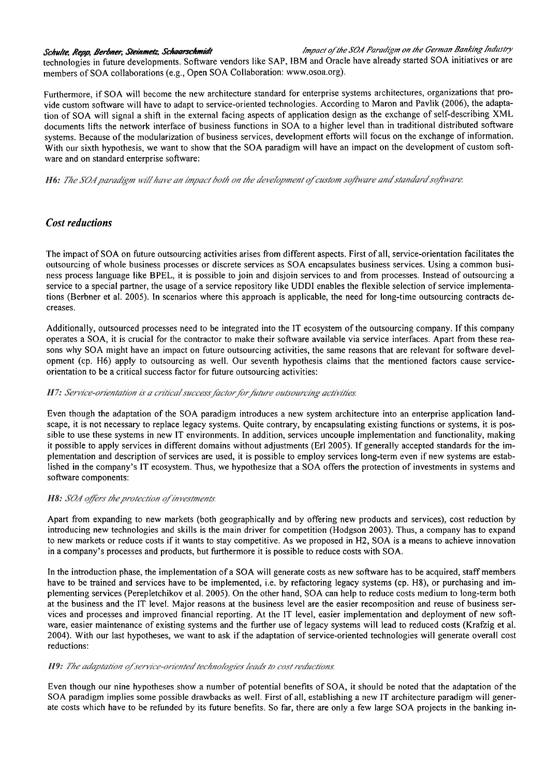Schulte, Repp, Berbner, Steinmetz, Schaarschmidt fan de fan de soart of the SOA Paradigm on the German Banking Industry

technologies in future developments. Software vendors like SAP, IBM and Oracle have already started SOA initiatives or are members of SOA collaborations (e.g., Open SOA Collaboration: www.osoa.org).

Furthermore, if SOA will become the new architecture standard for enterprise systems architectures, organizations that provide custom software will have to adapt to service-oriented technologies. According to Maron and Pavlik (2006), the adaptation of SOA will signal a shift in the external facing aspects of application design as the exchange of self-describing XML documents lifts the network interface of business functions in SOA to a higher level than in traditional distributed software systems. Because of the modularization of business services, development efforts will focus on the exchange of information. With our sixth hypothesis, we want to show that the SOA paradigm will have an impact on the development of custom software and on standard enterprise software:

H6: The SOA paradigm will have an impact both on the development of custom software and standard software.

### *Cost reductions*

The impact of SOA on future outsourcing activities arises from different aspects. First of all, service-orientation facilitates the outsourcing of whole business processes or discrete services as SOA encapsulates business services. Using a common business process language like BPEL, it is possible to join and disjoin services to and from processes. Instead of outsourcing a service to a special partner, the usage of a service repository like UDDI enables the flexible selection of service implementations (Berbner et al. 2005). In scenarios where this approach is applicable, the need for long-time outsourcing contracts decreases.

Additionally, outsourced processes need to be integrated into the IT ecosystem of the outsourcing company. If this company operates a SOA, it is crucial for the contractor to make their software available via service interfaces. Apart from these reasons why SOA might have an impact on future outsourcing activities, the same reasons that are relevant for software development (cp. H6) apply to outsourcing as well. Our seventh hypothesis claims that the mentioned factors cause serviceorientation to be a critical success factor for future outsourcing activities:

#### H7: Service-orientation is a critical success factor for future outsourcing activities.

Even though the adaptation of the SOA paradigm introduces a new system architecture into an enterprise application landscape, it is not necessary to replace legacy systems. Quite contrary, by encapsulating existing functions or systems, it is possible to use these systems in new IT environments. In addition, services uncouple implementation and functionality, making it possible to apply services in different domains without adjustments (Erl 2005). If generally accepted standards for the implementation and description of services are used, it is possible to employ services long-term even if new systems are established in the company's IT ecosystem. Thus, we hypothesize that a SOA offers the protection of investments in systems and software components:

#### H8: SOA offers the protection of investments.

Apart from expanding to new markets (both geographically and by offering new products and services), cost reduction by introducing new technologies and skills is the main driver for competition (Hodgson 2003). Thus, a company has to expand to new markets or reduce costs if it wants to stay competitive. As we proposed in H2, SOA is a means to achieve innovation in a company's processes and products, but furthermore it is possible to reduce costs with SOA.

In the introduction phase, the implementation of a SOA will generate costs as new software has to be acquired, staff members have to be trained and services have to be implemented, i.e. by refactoring legacy systems (cp. H8), or purchasing and implementing services (Perepletchikov et al. 2005). On the other hand, SOA can help to reduce costs medium to long-term both at the business and the IT level. Major reasons at the business level are the easier recomposition and reuse of business services and processes and improved financial reporting. At the IT level, easier implementation and deployment of new sofl-Ware, easier maintenance of existing systems and the further use of legacy systems will lead to reduced costs (Krafzig et al. 2004). With our last hypotheses, we Want to ask if the adaptation of service-oriented technologies will generate overall cost reductions:

#### H9: The adaptation of service-oriented technologies leads to cost reductions.

Even though our nine hypotheses show a number of potential benefits of SOA, it should be noted that the adaptation of the SOA paradigm implies some possible drawbacks as well. First of all, establishing a new IT architecture paradigm will generate costs which have to be refunded by its future benefits. So far, there are only a few large SOA projects in the banking in-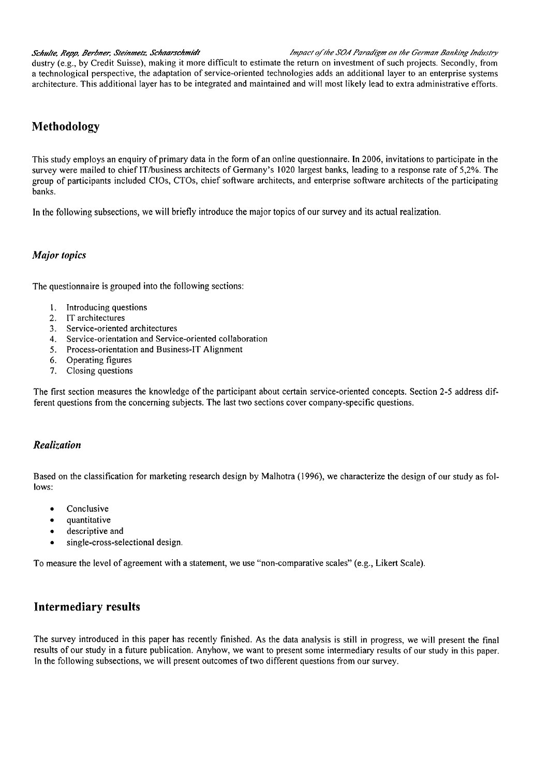*Schulte, Repp, Berbner, Steinmetz, Schaarschmidt in the SOA Paradigm on the German Banking Industry Schulte, Repp, Berbner, Steinmetz, Schaarschmidt* 

dustry (e.g., by Credit Suisse), making it more difficult to estimate the return on investment of such projects. Secondly, from a technological perspective, the adaptation of service-oriented technologies adds an additional layer to an enterprise systems architecture. This additional layer has to be integrated and maintained and will most likely lead to extra administrative efforts.

# **Methodology**

This study employs an enquiry of primary data in the form of an online questionnaire. In 2006, invitations to participate in the survey were mailed to chief IT/business architects of Germany's 1020 largest banks, leading to a response rate of 5,2%. The group of participants included CIOs, CTOs, chief software architects, and enterprise software architects of the participating banks.

In the following subsections, we will briefly introduce the major topics of our survey and its actual realization.

### *Major topics*

The questionnaire is grouped into the following sections:

- 1. lntroducing questions
- 2. IT architectures
- 3. Service-oriented architectures
- 4. Service-orientation and Service-oriented collaboration
- 5. Process-orientation and Business-IT Alignment
- 6. Operating figures
- 7. Closing questions

The first section measures the knowledge of the participant about certain service-oriented concepts. Section 2-5 address different questions from the concerning subjects. The last two sections cover company-specific questions.

### *Realization*

Based on the classification for marketing research design by Malhotra (1996), we characterize the design of our study as follows:

- Conclusive  $\bullet$
- quantitative
- descriptive and
- single-cross-selectional design.

To measure the level of agreement with a statement, we use "non-comparative scales" (e.g., Likert Scale).

# **Intermediary results**

The survey introduced in this paper has recently finished. As the data analysis is still in progress, we will present the final results of our study in a future publication. Anyhow, we Want to present some intermediary results of our study in this paper. In the following subsections, we will present outcomes of two different questions from our survey.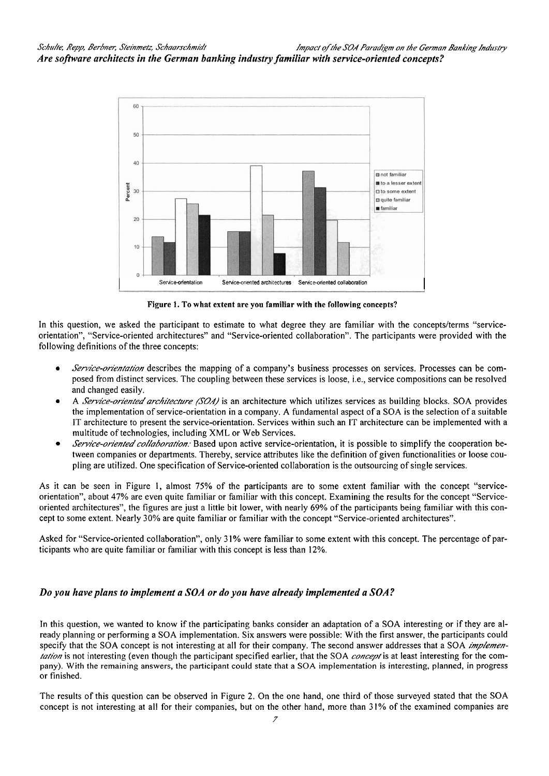

Figure 1. To what extent are you familiar with the following concepts?

In this question, we asked the participant to estimate to what degree they are familiar with the concepts/terms "serviceorientation", "Service-oriented architectures" and "Service-oriented collaboration". The participants were provided with the following definitions of the three concepts:

- Service-orientation describes the mapping of a company's business processes on services. Processes can be composed from distinct services. The coupling between these services is loose, i.e., service compositions can be resolved and changed easily.
- A Service-oriented architecture (SOA) is an architecture which utilizes services as building blocks. SOA provides the implementation of service-orientation in a company. A fundamental aspect of a SOA is the selection of a suitable IT architecture to present the service-orientation. Services within such an IT architecture can be implemented with a multitude of technologies, including XML or Web Services.
- Service-oriented collaboration. Based upon active service-orientation, it is possible to simplify the cooperation between companies or departments. Thereby, service attributes like the definition of given functionalities or loose coupling are utilized. One specification of Service-oriented collaboration is the outsourcing of single services.

As it can be seen in Figure 1, almost 75% of the participants are to some extent familiar with the concept "serviceorientation", about 47% are even quite familiar or familiar with this concept. Examining the results for the concept "Serviceoriented architectures", the figures are just a little bit lower, with nearly 69% of the participants being familiar with this concept to some extent. Nearly 30% are quite familiar or familiar with the concept "Service-oriented architectures".

Asked for "Service-oriented collaboration", only 31% were familiar to some extent with this concept. The percentage of participants who are quite familiar or familiar with this concept is less than 12%.

# Do you have plans to implement a SOA or do you have already implemented a SOA?

In this question, we wanted to know if the participating banks consider an adaptation of a SOA interesting or if they are already planning or performing a SOA implementation. Six answers were possible: With the first answer, the participants could specify that the SOA concept is not interesting at all for their company. The second answer addresses that a SOA implementation is not interesting (even though the participant specified earlier, that the SOA concept is at least interesting for the company). With the remaining answers, the participant could state that a SOA implementation is interesting, planned, in progress or finished.

The results of this question can be observed in Figure 2. On the one hand, one third of those surveyed stated that the SOA concept is not interesting at all for their companies, but on the other hand, more than 31% of the examined companies are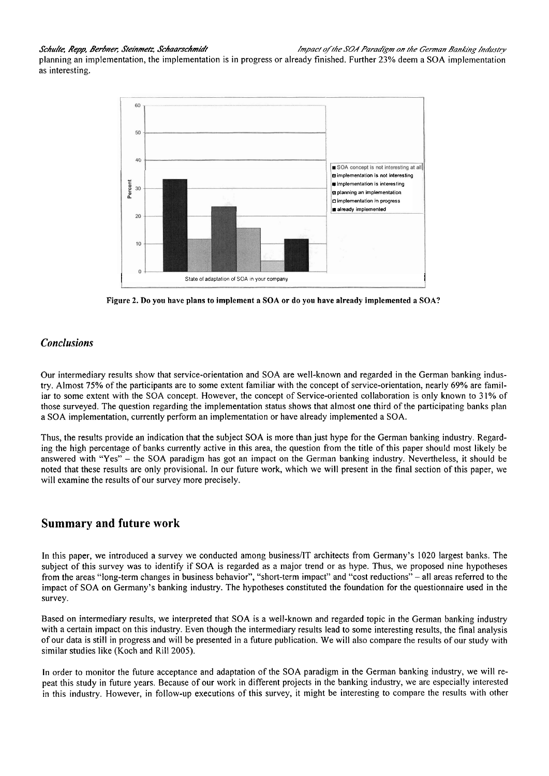planning an implementation, the implementation is in progress or already finished. Further 23% deem a SOA implementation as interesting.



**Figure 2. Do you have plans to implement a SOA or do you have already implemented a SOA?** 

# *Conclusions*

Our intermediary results show that service-orientation and SOA are well-known and regarded in the German banking industry. Almost 75% of the participants are to some extent familiar with the concept of service-orientation, nearly 69% are familiar to some extent with the SOA concept. However, the concept of Service-oriented collaboration is only known to 3 1% of those surveyed. The question regarding the implementation status shows that almost one third of the participating banks plan a SOA implementation, currently perform an implementation or have already implemented a SOA.

Thus, the results provide an indication that the subject SOA is more than just hype for the German banking industry. Regarding the high percentage of banks currently active in this area, the question from the title of this paper should most likely be answered with "Yes" - the SOA paradigm has got an impact on the German banking industry. Nevertheless, it should be noted that these results are only provisional. In our future work, which we will present in the final section of this paper, we will examine the results of our survey more precisely.

# **Summary and future work**

In this paper, we introduced a survey we conducted among business/IT architects from Germany's 1020 largest banks. The subject of this survey was to identify if SOA is regarded as a major trend or as hype. Thus, we proposed nine hypotheses from the areas "long-term changes in business behavior", "short-term impact" and "cost reductions" - all areas referred to the impact of SOA on Germany's banking industry. The hypotheses constituted the foundation for the questionnaire used in the survey.

Based on intermediary results, we interpreted that SOA is a well-known and regarded topic in the German banking industry with a certain impact on this industry. Even though the intermediary results lead to some interesting results, the final analysis of our data is still in progress and will be presented in a future publication. We will also compare the results of our study with similar studies like (Koch and Rill 2005).

In order to monitor the future acceptance and adaptation of the SOA paradigm in the German banking industry, we will repeat this study in fiiture years. Because of our work in different projects in the banking industry, we are especially interested in this industry. However, in follow-up executions of this survey, it might be interesting to compare the results with other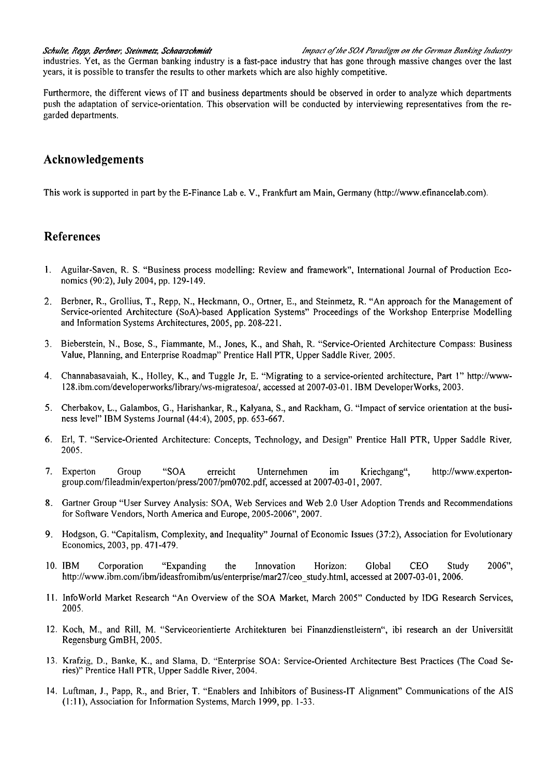industries. Yet, as the German banking industry is a fast-pace industry that has gone through massive changes over the last years, it is possible to transfer the results to other markets which are also highly competitive.

Furthermore, the different views of IT and business departments should be observed in order to analyze which departments push the adaptation of service-orientation. This observation will be conducted by interviewing representatives from the regarded departments.

# **Acknowledgements**

This work is supported in Part by the E-Finance Lab e. V., Frankfurt am Main, Germany (http://www.efinancelab.com).

# **References**

- 1. Aguilar-Saven, R. S. "Business process modelling: Review and framework", International Journal of Production Economics (90:2), July 2004, pp. 129-149.
- 2. Berbner, R., Grollius, T., Repp, N., Heckmann, O., Ortner, E., and Steinmetz, R. "An approach for the Management of Service-oriented Architecture (SoA)-based Application Systems" Proceedings of the Workshop Enterprise Modelling and Information Systems Architectures, 2005, pp. 208-221.
- 3. Bieberstein, N., Bose, S., Fiammante, M., Jones, K., and Shah, R. "Service-Oriented Architecture Compass: Business Value, Planning, and Enterprise Roadmap" Prentice Hall PTR, Upper Saddle River, 2005.
- 4. Channabasavaiah, K., Holley, K., and Tuggle Jr, E. "Migrating to a service-oriented architecture, Part **1"** http://www-**128.ibm.com/developerworks/library/ws-migrateo,** accessed at 2007-03-01. IBM DeveloperWorks, 2003.
- **5.** Cherbakov, L., Galambos, G., Harishankar, R., Kalyana, S., and Rackham, G. "Impact of service orientation at the business level" IBM Systems Journal (44:4), 2005, pp. 653-667.
- 6. Erl, T. "Service-Oriented Architecture: Concepts, Technology, and Design" Prentice Hall PTR, Upper Saddle River, 2005.
- 7. Experton Group "SOA erreicht Unternehmen im Kriechgang", http://www.expertongroup.com/fileadmin/experton/press/2007/pm0702.pdf, accessed at 2007-03-01, 2007.
- 8. Gartner Group "User Survey Analysis: SOA, Web Services and Web 2.0 User Adoption Trends and Recommendations for Software Vendors, North America and Europe, 2005-2006", 2007.
- 9. Hodgson, G. "Capitalism, Complexity, and Inequality" Journal of Economic Issues (37:2), Association for Evolutionary Economics, 2003, pp. 471-479.
- 10. IBM Corporation "Expanding the Innovation Horizon: Global CE0 Study 2006", http://www.ibm.com/ibm/ideasfromibm/us/enterprise/mar27/ceo study.html, accessed at 2007-03-01, 2006.
- 11. InfoWorld Market Research "An Overview of the SOA Market, March 2005" Conducted by IDG Research Services, 2005.
- 12. Koch, M., and Rill, M. "Serviceorientierte Architekturen bei Finanzdienstleistern", ibi research an der Universität Regensburg GmBH, 2005.
- 13. Krafzig, D., Banke, K., and Slama, D. "Enterprise SOA: Service-Oriented Architecture Best Practices (The Coad Series)" Prentice Hall PTR, Upper Saddle River, 2004.
- 14. Luftman, J., Papp, R., and Brier, T. "Enablers and Inhibitors of Business-!T Alignment" Communications of the AIS (1: 1 I), Association for Information Systems, March 1999, pp. 1-33.